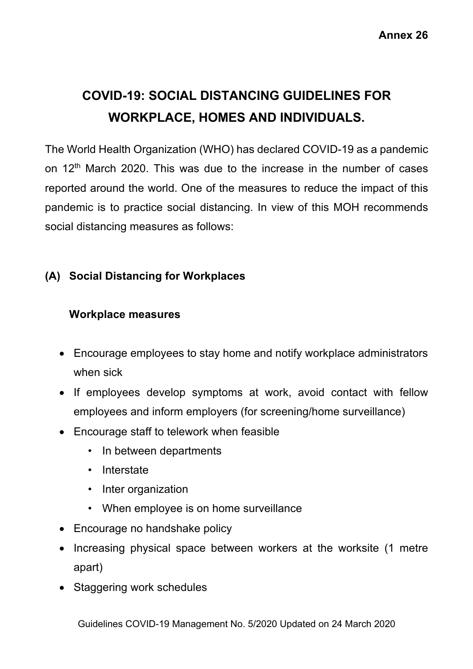# **COVID-19: SOCIAL DISTANCING GUIDELINES FOR WORKPLACE, HOMES AND INDIVIDUALS.**

The World Health Organization (WHO) has declared COVID-19 as a pandemic on 12<sup>th</sup> March 2020. This was due to the increase in the number of cases reported around the world. One of the measures to reduce the impact of this pandemic is to practice social distancing. In view of this MOH recommends social distancing measures as follows:

# **(A) Social Distancing for Workplaces**

#### **Workplace measures**

- Encourage employees to stay home and notify workplace administrators when sick
- If employees develop symptoms at work, avoid contact with fellow employees and inform employers (for screening/home surveillance)
- Encourage staff to telework when feasible
	- In between departments
	- Interstate
	- Inter organization
	- When employee is on home surveillance
- Encourage no handshake policy
- Increasing physical space between workers at the worksite (1 metre apart)
- Staggering work schedules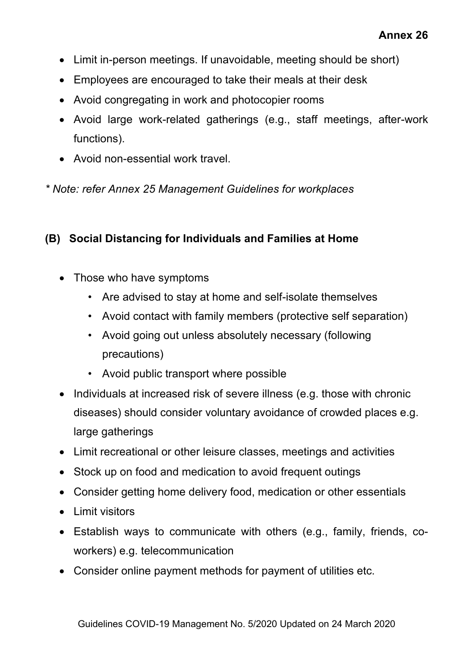- Limit in-person meetings. If unavoidable, meeting should be short)
- Employees are encouraged to take their meals at their desk
- Avoid congregating in work and photocopier rooms
- Avoid large work-related gatherings (e.g., staff meetings, after-work functions).
- Avoid non-essential work travel.

*\* Note: refer Annex 25 Management Guidelines for workplaces*

#### **(B) Social Distancing for Individuals and Families at Home**

- Those who have symptoms
	- Are advised to stay at home and self-isolate themselves
	- Avoid contact with family members (protective self separation)
	- Avoid going out unless absolutely necessary (following precautions)
	- Avoid public transport where possible
- Individuals at increased risk of severe illness (e.g. those with chronic diseases) should consider voluntary avoidance of crowded places e.g. large gatherings
- Limit recreational or other leisure classes, meetings and activities
- Stock up on food and medication to avoid frequent outings
- Consider getting home delivery food, medication or other essentials
- Limit visitors
- Establish ways to communicate with others (e.g., family, friends, coworkers) e.g. telecommunication
- Consider online payment methods for payment of utilities etc.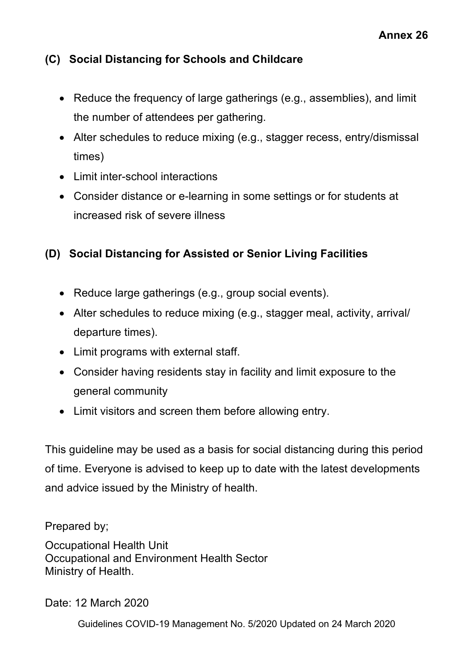### **(C) Social Distancing for Schools and Childcare**

- Reduce the frequency of large gatherings (e.g., assemblies), and limit the number of attendees per gathering.
- Alter schedules to reduce mixing (e.g., stagger recess, entry/dismissal times)
- Limit inter-school interactions
- Consider distance or e-learning in some settings or for students at increased risk of severe illness

# **(D) Social Distancing for Assisted or Senior Living Facilities**

- Reduce large gatherings (e.g., group social events).
- Alter schedules to reduce mixing (e.g., stagger meal, activity, arrival/ departure times).
- Limit programs with external staff.
- Consider having residents stay in facility and limit exposure to the general community
- Limit visitors and screen them before allowing entry.

This guideline may be used as a basis for social distancing during this period of time. Everyone is advised to keep up to date with the latest developments and advice issued by the Ministry of health.

Prepared by;

Occupational Health Unit Occupational and Environment Health Sector Ministry of Health.

Date: 12 March 2020

Guidelines COVID-19 Management No. 5/2020 Updated on 24 March 2020